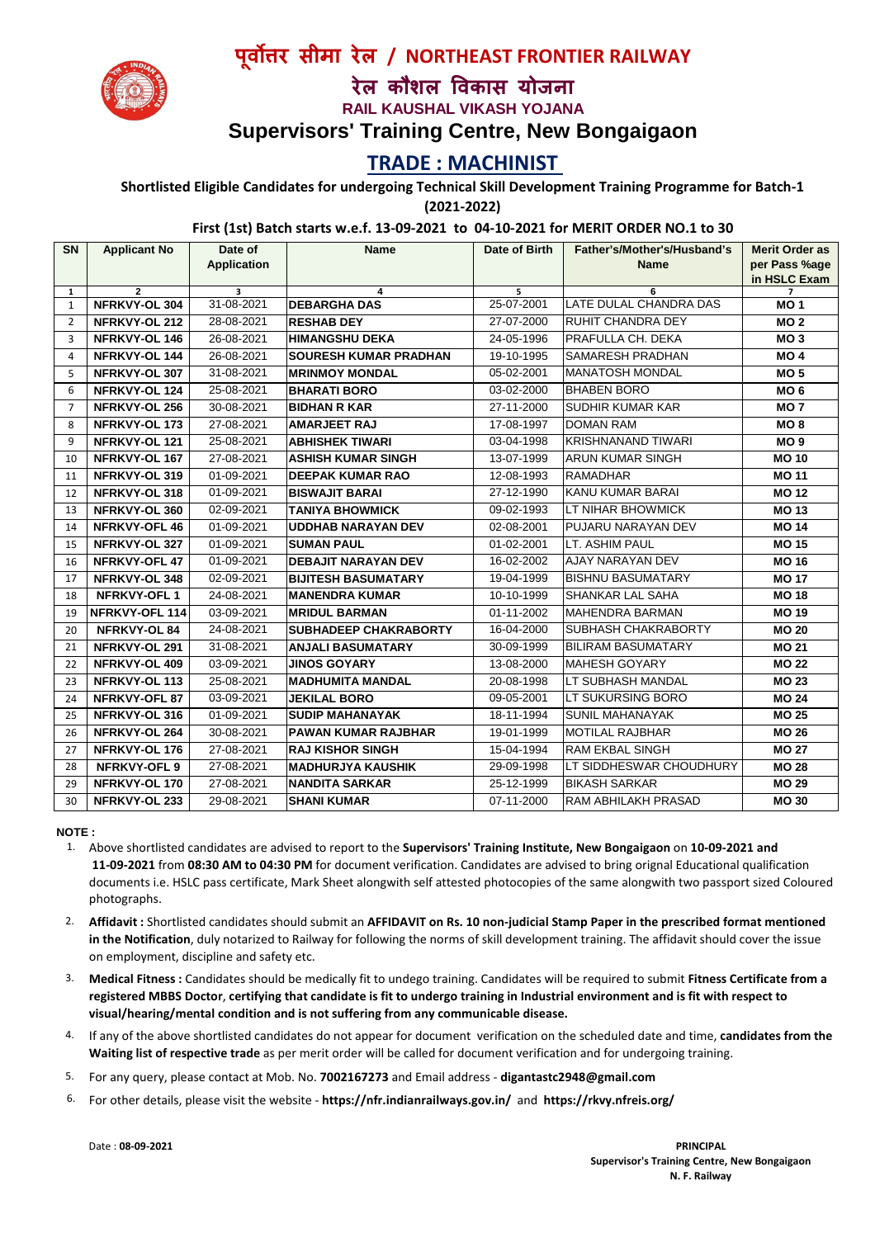

## **पवर ू सीमा रेल / NORTHEAST FRONTIER RAILWAY**

# **रेल कौशल वकास योजना**

**RAIL KAUSHAL VIKASH YOJANA**

### **Supervisors' Training Centre, New Bongaigaon**

### **TRADE : MACHINIST**

**Shortlisted Eligible Candidates for undergoing Technical Skill Development Training Programme for Batch-1** 

**(2021-2022)**

#### **First (1st) Batch starts w.e.f. 13-09-2021 to 04-10-2021 for MERIT ORDER NO.1 to 30**

| <b>SN</b>      | <b>Applicant No</b>             | Date of            | <b>Name</b>                  | Date of Birth   | Father's/Mother's/Husband's | <b>Merit Order as</b> |
|----------------|---------------------------------|--------------------|------------------------------|-----------------|-----------------------------|-----------------------|
|                |                                 | <b>Application</b> |                              |                 | <b>Name</b>                 | per Pass %age         |
|                |                                 |                    |                              |                 |                             | in HSLC Exam          |
| 1<br>1         | $\overline{2}$<br>NFRKVY-OL 304 | 3<br>31-08-2021    | 4<br><b>DEBARGHA DAS</b>     | 5<br>25-07-2001 | 6<br>LATE DULAL CHANDRA DAS | 7<br>MO <sub>1</sub>  |
| $\overline{2}$ | NFRKVY-OL 212                   | 28-08-2021         | <b>RESHAB DEY</b>            | 27-07-2000      | RUHIT CHANDRA DEY           | MO <sub>2</sub>       |
| 3              | NFRKVY-OL 146                   | 26-08-2021         | <b>HIMANGSHU DEKA</b>        | 24-05-1996      | PRAFULLA CH. DEKA           | MO <sub>3</sub>       |
| 4              | NFRKVY-OL 144                   | 26-08-2021         | <b>SOURESH KUMAR PRADHAN</b> | 19-10-1995      | <b>SAMARESH PRADHAN</b>     | MO <sub>4</sub>       |
| 5              | NFRKVY-OL 307                   | 31-08-2021         | <b>IMRINMOY MONDAL</b>       | 05-02-2001      | <b>IMANATOSH MONDAL</b>     | MO <sub>5</sub>       |
| 6              | NFRKVY-OL 124                   | 25-08-2021         | <b>BHARATI BORO</b>          | 03-02-2000      | <b>BHABEN BORO</b>          | MO <sub>6</sub>       |
| $\overline{7}$ | NFRKVY-OL 256                   | 30-08-2021         | <b>BIDHAN R KAR</b>          | 27-11-2000      | <b>SUDHIR KUMAR KAR</b>     | MO <sub>7</sub>       |
| 8              | NFRKVY-OL 173                   | 27-08-2021         | <b>AMARJEET RAJ</b>          | 17-08-1997      | <b>DOMAN RAM</b>            | MO <sub>8</sub>       |
| 9              | NFRKVY-OL 121                   | 25-08-2021         | <b>ABHISHEK TIWARI</b>       | 03-04-1998      | <b>KRISHNANAND TIWARI</b>   | MO <sub>9</sub>       |
| 10             | NFRKVY-OL 167                   | 27-08-2021         | <b>ASHISH KUMAR SINGH</b>    | 13-07-1999      | <b>ARUN KUMAR SINGH</b>     | <b>MO10</b>           |
| 11             | NFRKVY-OL 319                   | 01-09-2021         | <b>DEEPAK KUMAR RAO</b>      | 12-08-1993      | <b>RAMADHAR</b>             | <b>MO 11</b>          |
| 12             | NFRKVY-OL 318                   | 01-09-2021         | <b>BISWAJIT BARAI</b>        | 27-12-1990      | <b>KANU KUMAR BARAI</b>     | <b>MO12</b>           |
| 13             | NFRKVY-OL 360                   | 02-09-2021         | <b>TANIYA BHOWMICK</b>       | 09-02-1993      | LT NIHAR BHOWMICK           | <b>MO13</b>           |
| 14             | <b>NFRKVY-OFL 46</b>            | 01-09-2021         | <b>UDDHAB NARAYAN DEV</b>    | 02-08-2001      | PUJARU NARAYAN DEV          | <b>MO 14</b>          |
| 15             | NFRKVY-OL 327                   | 01-09-2021         | <b>SUMAN PAUL</b>            | 01-02-2001      | LT. ASHIM PAUL              | <b>MO 15</b>          |
| 16             | <b>NFRKVY-OFL 47</b>            | 01-09-2021         | <b>DEBAJIT NARAYAN DEV</b>   | 16-02-2002      | <b>AJAY NARAYAN DEV</b>     | <b>MO 16</b>          |
| 17             | NFRKVY-OL 348                   | 02-09-2021         | <b>BIJITESH BASUMATARY</b>   | 19-04-1999      | <b>BISHNU BASUMATARY</b>    | <b>MO 17</b>          |
| 18             | <b>NFRKVY-OFL1</b>              | 24-08-2021         | <b>MANENDRA KUMAR</b>        | 10-10-1999      | <b>SHANKAR LAL SAHA</b>     | <b>MO 18</b>          |
| 19             | NFRKVY-OFL 114                  | 03-09-2021         | <b>MRIDUL BARMAN</b>         | 01-11-2002      | <b>MAHENDRA BARMAN</b>      | <b>MO19</b>           |
| 20             | NFRKVY-OL 84                    | 24-08-2021         | <b>SUBHADEEP CHAKRABORTY</b> | 16-04-2000      | SUBHASH CHAKRABORTY         | <b>MO 20</b>          |
| 21             | NFRKVY-OL 291                   | 31-08-2021         | <b>ANJALI BASUMATARY</b>     | 30-09-1999      | <b>BILIRAM BASUMATARY</b>   | <b>MO 21</b>          |
| 22             | NFRKVY-OL 409                   | 03-09-2021         | <b>JINOS GOYARY</b>          | 13-08-2000      | <b>MAHESH GOYARY</b>        | <b>MO 22</b>          |
| 23             | NFRKVY-OL 113                   | 25-08-2021         | <b>MADHUMITA MANDAL</b>      | 20-08-1998      | LT SUBHASH MANDAL           | <b>MO 23</b>          |
| 24             | NFRKVY-OFL 87                   | 03-09-2021         | <b>JEKILAL BORO</b>          | 09-05-2001      | LT SUKURSING BORO           | <b>MO 24</b>          |
| 25             | NFRKVY-OL 316                   | 01-09-2021         | <b>SUDIP MAHANAYAK</b>       | 18-11-1994      | <b>SUNIL MAHANAYAK</b>      | <b>MO 25</b>          |
| 26             | NFRKVY-OL 264                   | 30-08-2021         | <b>PAWAN KUMAR RAJBHAR</b>   | 19-01-1999      | <b>MOTILAL RAJBHAR</b>      | <b>MO 26</b>          |
| 27             | NFRKVY-OL 176                   | 27-08-2021         | <b>RAJ KISHOR SINGH</b>      | 15-04-1994      | <b>RAM EKBAL SINGH</b>      | <b>MO 27</b>          |
| 28             | NFRKVY-OFL 9                    | 27-08-2021         | <b>MADHURJYA KAUSHIK</b>     | 29-09-1998      | LT SIDDHESWAR CHOUDHURY     | <b>MO 28</b>          |
| 29             | NFRKVY-OL 170                   | 27-08-2021         | <b>NANDITA SARKAR</b>        | 25-12-1999      | <b>BIKASH SARKAR</b>        | <b>MO 29</b>          |
| 30             | NFRKVY-OL 233                   | 29-08-2021         | <b>SHANI KUMAR</b>           | 07-11-2000      | <b>RAM ABHILAKH PRASAD</b>  | <b>MO 30</b>          |

#### **NOTE :**

- 1. Above shortlisted candidates are advised to report to the **Supervisors' Training Institute, New Bongaigaon** on **10-09-2021 and 11-09-2021** from **08:30 AM to 04:30 PM** for document verification. Candidates are advised to bring orignal Educational qualification documents i.e. HSLC pass certificate, Mark Sheet alongwith self attested photocopies of the same alongwith two passport sized Coloured photographs.
- 2. **Affidavit :** Shortlisted candidates should submit an **AFFIDAVIT on Rs. 10 non-judicial Stamp Paper in the prescribed format mentioned in the Notification**, duly notarized to Railway for following the norms of skill development training. The affidavit should cover the issue on employment, discipline and safety etc.
- 3. **Medical Fitness :** Candidates should be medically fit to undego training. Candidates will be required to submit **Fitness Certificate from a registered MBBS Doctor**, **certifying that candidate is fit to undergo training in Industrial environment and is fit with respect to visual/hearing/mental condition and is not suffering from any communicable disease.**
- 4. If any of the above shortlisted candidates do not appear for document verification on the scheduled date and time, **candidates from the Waiting list of respective trade** as per merit order will be called for document verification and for undergoing training.
- 5. For any query, please contact at Mob. No. **7002167273** and Email address - **digantastc2948@gmail.com**
- 6. For other details, please visit the website - **https://nfr.indianrailways.gov.in/** and **https://rkvy.nfreis.org/**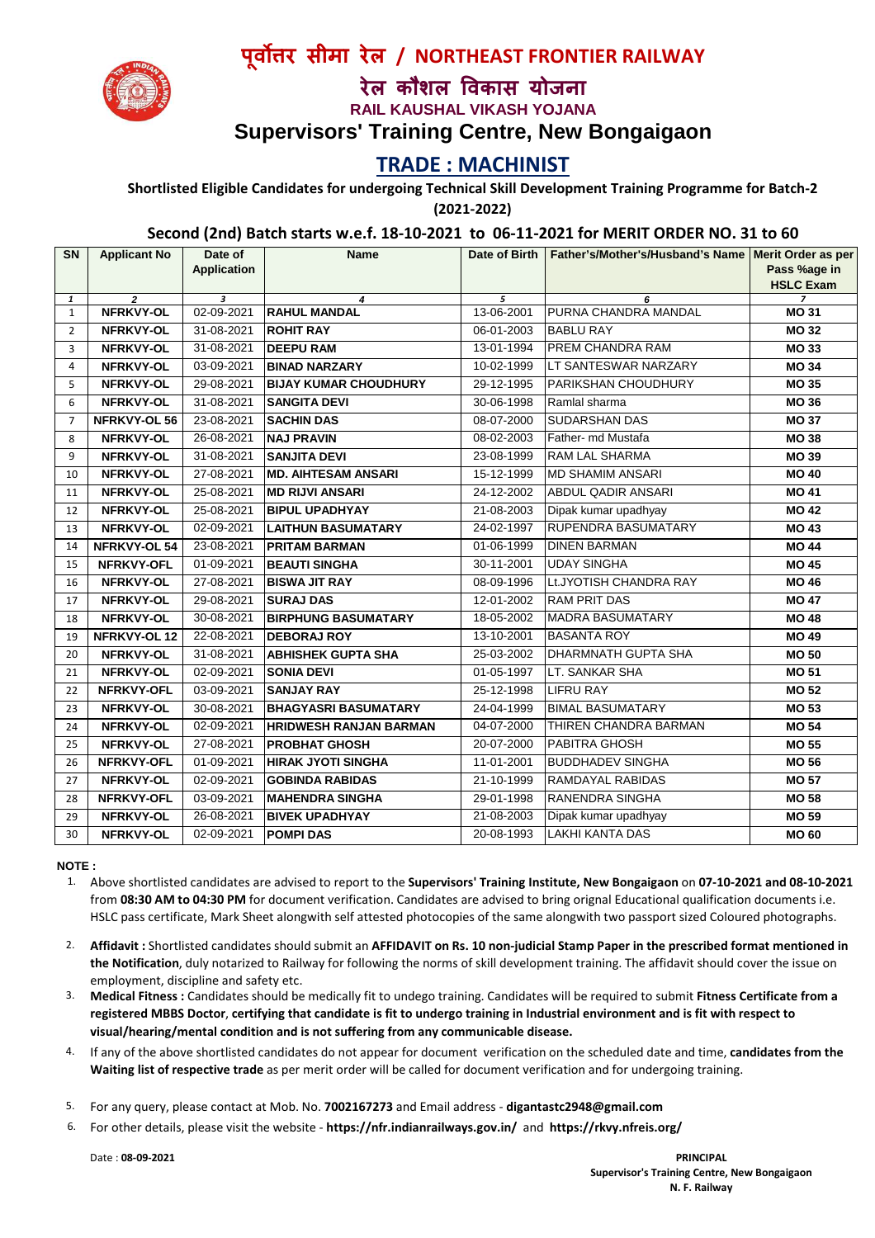

**प ूवर सीमा रेल / NORTHEAST FRONTIER RAILWAY**

# **रेल कौशल वकास योजना**

**RAIL KAUSHAL VIKASH YOJANA**

**Supervisors' Training Centre, New Bongaigaon**

### **TRADE : MACHINIST**

**Shortlisted Eligible Candidates for undergoing Technical Skill Development Training Programme for Batch-2 (2021-2022)**

#### **Second (2nd) Batch starts w.e.f. 18-10-2021 to 06-11-2021 for MERIT ORDER NO. 31 to 60**

| <b>Application</b><br><b>HSLC Exam</b><br>$\overline{2}$<br>3<br>5<br>$\overline{z}$<br>1<br>6<br>4<br>NFRKVY-OL<br>02-09-2021<br>13-06-2001<br>PURNA CHANDRA MANDAL<br><b>RAHUL MANDAL</b><br><b>MO 31</b><br>$\mathbf{1}$<br>NFRKVY-OL<br>31-08-2021<br><b>ROHIT RAY</b><br>06-01-2003<br><b>BABLU RAY</b><br><b>MO 32</b><br>$\overline{2}$<br>31-08-2021<br>13-01-1994<br><b>PREM CHANDRA RAM</b><br>NFRKVY-OL<br><b>DEEPU RAM</b><br><b>MO 33</b><br>3<br>LT SANTESWAR NARZARY<br>NFRKVY-OL<br>03-09-2021<br><b>BINAD NARZARY</b><br>10-02-1999<br><b>MO 34</b><br>4<br><b>BIJAY KUMAR CHOUDHURY</b><br><b>PARIKSHAN CHOUDHURY</b><br>5<br><b>NFRKVY-OL</b><br>29-08-2021<br>29-12-1995<br><b>MO 35</b><br>6<br>31-08-2021<br><b>SANGITA DEVI</b><br>30-06-1998<br>Ramlal sharma<br>NFRKVY-OL<br><b>MO 36</b><br>NFRKVY-OL 56<br>23-08-2021<br><b>SACHIN DAS</b><br>08-07-2000<br><b>SUDARSHAN DAS</b><br><b>MO 37</b><br>$\overline{7}$<br>26-08-2021<br>08-02-2003<br>Father- md Mustafa<br><b>NFRKVY-OL</b><br><b>NAJ PRAVIN</b><br><b>MO 38</b><br>8<br>RAM LAL SHARMA<br>NFRKVY-OL<br>31-08-2021<br>23-08-1999<br>9<br><b>SANJITA DEVI</b><br><b>MO 39</b><br><b>MD SHAMIM ANSARI</b><br>NFRKVY-OL<br>27-08-2021<br><b>MD. AIHTESAM ANSARI</b><br>15-12-1999<br><b>MO 40</b><br>10<br><b>ABDUL QADIR ANSARI</b><br>NFRKVY-OL<br>25-08-2021<br><b>MD RIJVI ANSARI</b><br>24-12-2002<br><b>MO 41</b><br>11<br><b>NFRKVY-OL</b><br>25-08-2021<br><b>BIPUL UPADHYAY</b><br>21-08-2003<br>Dipak kumar upadhyay<br>12<br><b>MO 42</b><br>NFRKVY-OL<br><b>LAITHUN BASUMATARY</b><br><b>RUPENDRA BASUMATARY</b><br>02-09-2021<br>24-02-1997<br><b>MO 43</b><br>13<br>23-08-2021<br><b>DINEN BARMAN</b><br>NFRKVY-OL 54<br><b>PRITAM BARMAN</b><br>01-06-1999<br><b>MO 44</b><br>14<br>UDAY SINGHA<br><b>NFRKVY-OFL</b><br>01-09-2021<br>30-11-2001<br>15<br><b>BEAUTI SINGHA</b><br><b>MO 45</b><br>NFRKVY-OL<br><b>BISWA JIT RAY</b><br>Lt.JYOTISH CHANDRA RAY<br>27-08-2021<br>08-09-1996<br><b>MO 46</b><br>16<br>29-08-2021<br>12-01-2002<br><b>RAM PRIT DAS</b><br>NFRKVY-OL<br><b>SURAJ DAS</b><br><b>MO 47</b><br>17<br><b>MADRA BASUMATARY</b><br>NFRKVY-OL<br>30-08-2021<br><b>BIRPHUNG BASUMATARY</b><br>18-05-2002<br><b>MO 48</b><br>18<br><b>DEBORAJ ROY</b><br><b>BASANTA ROY</b><br>NFRKVY-OL 12<br>22-08-2021<br>13-10-2001<br><b>MO 49</b><br>19<br>IDHARMNATH GUPTA SHA<br>NFRKVY-OL<br>31-08-2021<br>25-03-2002<br><b>ABHISHEK GUPTA SHA</b><br><b>MO 50</b><br>20<br>LT. SANKAR SHA<br><b>NFRKVY-OL</b><br>02-09-2021<br>01-05-1997<br>21<br><b>SONIA DEVI</b><br><b>MO 51</b><br><b>NFRKVY-OFL</b><br><b>SANJAY RAY</b><br>LIFRU RAY<br>03-09-2021<br>25-12-1998<br><b>MO 52</b><br>22<br><b>BIMAL BASUMATARY</b><br>30-08-2021<br>24-04-1999<br>NFRKVY-OL<br><b>BHAGYASRI BASUMATARY</b><br><b>MO 53</b><br>23<br>THIREN CHANDRA BARMAN<br>NFRKVY-OL<br>02-09-2021<br><b>HRIDWESH RANJAN BARMAN</b><br>04-07-2000<br><b>MO 54</b><br>24<br>NFRKVY-OL<br>27-08-2021<br><b>PROBHAT GHOSH</b><br>20-07-2000<br><b>PABITRA GHOSH</b><br><b>MO 55</b><br>25<br>01-09-2021<br>11-01-2001<br><b>BUDDHADEV SINGHA</b><br>NFRKVY-OFL<br><b>HIRAK JYOTI SINGHA</b><br><b>MO 56</b><br>26<br>NFRKVY-OL<br><b>GOBINDA RABIDAS</b><br><b>RAMDAYAL RABIDAS</b><br><b>MO 57</b><br>02-09-2021<br>21-10-1999<br>27<br>RANENDRA SINGHA<br>NFRKVY-OFL<br>03-09-2021<br><b>MAHENDRA SINGHA</b><br>29-01-1998<br><b>MO 58</b><br>28<br>NFRKVY-OL<br>26-08-2021<br><b>BIVEK UPADHYAY</b><br>21-08-2003<br>29<br>Dipak kumar upadhyay<br><b>MO 59</b><br><b>NFRKVY-OL</b><br><b>POMPI DAS</b><br><b>LAKHI KANTA DAS</b><br>02-09-2021<br>20-08-1993<br><b>MO 60</b><br>30 | <b>SN</b> | <b>Applicant No</b> | Date of | <b>Name</b> | Date of Birth   Father's/Mother's/Husband's Name   Merit Order as per |              |
|-----------------------------------------------------------------------------------------------------------------------------------------------------------------------------------------------------------------------------------------------------------------------------------------------------------------------------------------------------------------------------------------------------------------------------------------------------------------------------------------------------------------------------------------------------------------------------------------------------------------------------------------------------------------------------------------------------------------------------------------------------------------------------------------------------------------------------------------------------------------------------------------------------------------------------------------------------------------------------------------------------------------------------------------------------------------------------------------------------------------------------------------------------------------------------------------------------------------------------------------------------------------------------------------------------------------------------------------------------------------------------------------------------------------------------------------------------------------------------------------------------------------------------------------------------------------------------------------------------------------------------------------------------------------------------------------------------------------------------------------------------------------------------------------------------------------------------------------------------------------------------------------------------------------------------------------------------------------------------------------------------------------------------------------------------------------------------------------------------------------------------------------------------------------------------------------------------------------------------------------------------------------------------------------------------------------------------------------------------------------------------------------------------------------------------------------------------------------------------------------------------------------------------------------------------------------------------------------------------------------------------------------------------------------------------------------------------------------------------------------------------------------------------------------------------------------------------------------------------------------------------------------------------------------------------------------------------------------------------------------------------------------------------------------------------------------------------------------------------------------------------------------------------------------------------------------------------------------------------------------------------------------------------------------------------------------------------------------------------------------------------------------------------------------------------------------------------------------------------------------------------------------------------------------------------------------------------------------------------------------------------------------------------------------------------|-----------|---------------------|---------|-------------|-----------------------------------------------------------------------|--------------|
|                                                                                                                                                                                                                                                                                                                                                                                                                                                                                                                                                                                                                                                                                                                                                                                                                                                                                                                                                                                                                                                                                                                                                                                                                                                                                                                                                                                                                                                                                                                                                                                                                                                                                                                                                                                                                                                                                                                                                                                                                                                                                                                                                                                                                                                                                                                                                                                                                                                                                                                                                                                                                                                                                                                                                                                                                                                                                                                                                                                                                                                                                                                                                                                                                                                                                                                                                                                                                                                                                                                                                                                                                                                                             |           |                     |         |             |                                                                       | Pass %age in |
|                                                                                                                                                                                                                                                                                                                                                                                                                                                                                                                                                                                                                                                                                                                                                                                                                                                                                                                                                                                                                                                                                                                                                                                                                                                                                                                                                                                                                                                                                                                                                                                                                                                                                                                                                                                                                                                                                                                                                                                                                                                                                                                                                                                                                                                                                                                                                                                                                                                                                                                                                                                                                                                                                                                                                                                                                                                                                                                                                                                                                                                                                                                                                                                                                                                                                                                                                                                                                                                                                                                                                                                                                                                                             |           |                     |         |             |                                                                       |              |
|                                                                                                                                                                                                                                                                                                                                                                                                                                                                                                                                                                                                                                                                                                                                                                                                                                                                                                                                                                                                                                                                                                                                                                                                                                                                                                                                                                                                                                                                                                                                                                                                                                                                                                                                                                                                                                                                                                                                                                                                                                                                                                                                                                                                                                                                                                                                                                                                                                                                                                                                                                                                                                                                                                                                                                                                                                                                                                                                                                                                                                                                                                                                                                                                                                                                                                                                                                                                                                                                                                                                                                                                                                                                             |           |                     |         |             |                                                                       |              |
|                                                                                                                                                                                                                                                                                                                                                                                                                                                                                                                                                                                                                                                                                                                                                                                                                                                                                                                                                                                                                                                                                                                                                                                                                                                                                                                                                                                                                                                                                                                                                                                                                                                                                                                                                                                                                                                                                                                                                                                                                                                                                                                                                                                                                                                                                                                                                                                                                                                                                                                                                                                                                                                                                                                                                                                                                                                                                                                                                                                                                                                                                                                                                                                                                                                                                                                                                                                                                                                                                                                                                                                                                                                                             |           |                     |         |             |                                                                       |              |
|                                                                                                                                                                                                                                                                                                                                                                                                                                                                                                                                                                                                                                                                                                                                                                                                                                                                                                                                                                                                                                                                                                                                                                                                                                                                                                                                                                                                                                                                                                                                                                                                                                                                                                                                                                                                                                                                                                                                                                                                                                                                                                                                                                                                                                                                                                                                                                                                                                                                                                                                                                                                                                                                                                                                                                                                                                                                                                                                                                                                                                                                                                                                                                                                                                                                                                                                                                                                                                                                                                                                                                                                                                                                             |           |                     |         |             |                                                                       |              |
|                                                                                                                                                                                                                                                                                                                                                                                                                                                                                                                                                                                                                                                                                                                                                                                                                                                                                                                                                                                                                                                                                                                                                                                                                                                                                                                                                                                                                                                                                                                                                                                                                                                                                                                                                                                                                                                                                                                                                                                                                                                                                                                                                                                                                                                                                                                                                                                                                                                                                                                                                                                                                                                                                                                                                                                                                                                                                                                                                                                                                                                                                                                                                                                                                                                                                                                                                                                                                                                                                                                                                                                                                                                                             |           |                     |         |             |                                                                       |              |
|                                                                                                                                                                                                                                                                                                                                                                                                                                                                                                                                                                                                                                                                                                                                                                                                                                                                                                                                                                                                                                                                                                                                                                                                                                                                                                                                                                                                                                                                                                                                                                                                                                                                                                                                                                                                                                                                                                                                                                                                                                                                                                                                                                                                                                                                                                                                                                                                                                                                                                                                                                                                                                                                                                                                                                                                                                                                                                                                                                                                                                                                                                                                                                                                                                                                                                                                                                                                                                                                                                                                                                                                                                                                             |           |                     |         |             |                                                                       |              |
|                                                                                                                                                                                                                                                                                                                                                                                                                                                                                                                                                                                                                                                                                                                                                                                                                                                                                                                                                                                                                                                                                                                                                                                                                                                                                                                                                                                                                                                                                                                                                                                                                                                                                                                                                                                                                                                                                                                                                                                                                                                                                                                                                                                                                                                                                                                                                                                                                                                                                                                                                                                                                                                                                                                                                                                                                                                                                                                                                                                                                                                                                                                                                                                                                                                                                                                                                                                                                                                                                                                                                                                                                                                                             |           |                     |         |             |                                                                       |              |
|                                                                                                                                                                                                                                                                                                                                                                                                                                                                                                                                                                                                                                                                                                                                                                                                                                                                                                                                                                                                                                                                                                                                                                                                                                                                                                                                                                                                                                                                                                                                                                                                                                                                                                                                                                                                                                                                                                                                                                                                                                                                                                                                                                                                                                                                                                                                                                                                                                                                                                                                                                                                                                                                                                                                                                                                                                                                                                                                                                                                                                                                                                                                                                                                                                                                                                                                                                                                                                                                                                                                                                                                                                                                             |           |                     |         |             |                                                                       |              |
|                                                                                                                                                                                                                                                                                                                                                                                                                                                                                                                                                                                                                                                                                                                                                                                                                                                                                                                                                                                                                                                                                                                                                                                                                                                                                                                                                                                                                                                                                                                                                                                                                                                                                                                                                                                                                                                                                                                                                                                                                                                                                                                                                                                                                                                                                                                                                                                                                                                                                                                                                                                                                                                                                                                                                                                                                                                                                                                                                                                                                                                                                                                                                                                                                                                                                                                                                                                                                                                                                                                                                                                                                                                                             |           |                     |         |             |                                                                       |              |
|                                                                                                                                                                                                                                                                                                                                                                                                                                                                                                                                                                                                                                                                                                                                                                                                                                                                                                                                                                                                                                                                                                                                                                                                                                                                                                                                                                                                                                                                                                                                                                                                                                                                                                                                                                                                                                                                                                                                                                                                                                                                                                                                                                                                                                                                                                                                                                                                                                                                                                                                                                                                                                                                                                                                                                                                                                                                                                                                                                                                                                                                                                                                                                                                                                                                                                                                                                                                                                                                                                                                                                                                                                                                             |           |                     |         |             |                                                                       |              |
|                                                                                                                                                                                                                                                                                                                                                                                                                                                                                                                                                                                                                                                                                                                                                                                                                                                                                                                                                                                                                                                                                                                                                                                                                                                                                                                                                                                                                                                                                                                                                                                                                                                                                                                                                                                                                                                                                                                                                                                                                                                                                                                                                                                                                                                                                                                                                                                                                                                                                                                                                                                                                                                                                                                                                                                                                                                                                                                                                                                                                                                                                                                                                                                                                                                                                                                                                                                                                                                                                                                                                                                                                                                                             |           |                     |         |             |                                                                       |              |
|                                                                                                                                                                                                                                                                                                                                                                                                                                                                                                                                                                                                                                                                                                                                                                                                                                                                                                                                                                                                                                                                                                                                                                                                                                                                                                                                                                                                                                                                                                                                                                                                                                                                                                                                                                                                                                                                                                                                                                                                                                                                                                                                                                                                                                                                                                                                                                                                                                                                                                                                                                                                                                                                                                                                                                                                                                                                                                                                                                                                                                                                                                                                                                                                                                                                                                                                                                                                                                                                                                                                                                                                                                                                             |           |                     |         |             |                                                                       |              |
|                                                                                                                                                                                                                                                                                                                                                                                                                                                                                                                                                                                                                                                                                                                                                                                                                                                                                                                                                                                                                                                                                                                                                                                                                                                                                                                                                                                                                                                                                                                                                                                                                                                                                                                                                                                                                                                                                                                                                                                                                                                                                                                                                                                                                                                                                                                                                                                                                                                                                                                                                                                                                                                                                                                                                                                                                                                                                                                                                                                                                                                                                                                                                                                                                                                                                                                                                                                                                                                                                                                                                                                                                                                                             |           |                     |         |             |                                                                       |              |
|                                                                                                                                                                                                                                                                                                                                                                                                                                                                                                                                                                                                                                                                                                                                                                                                                                                                                                                                                                                                                                                                                                                                                                                                                                                                                                                                                                                                                                                                                                                                                                                                                                                                                                                                                                                                                                                                                                                                                                                                                                                                                                                                                                                                                                                                                                                                                                                                                                                                                                                                                                                                                                                                                                                                                                                                                                                                                                                                                                                                                                                                                                                                                                                                                                                                                                                                                                                                                                                                                                                                                                                                                                                                             |           |                     |         |             |                                                                       |              |
|                                                                                                                                                                                                                                                                                                                                                                                                                                                                                                                                                                                                                                                                                                                                                                                                                                                                                                                                                                                                                                                                                                                                                                                                                                                                                                                                                                                                                                                                                                                                                                                                                                                                                                                                                                                                                                                                                                                                                                                                                                                                                                                                                                                                                                                                                                                                                                                                                                                                                                                                                                                                                                                                                                                                                                                                                                                                                                                                                                                                                                                                                                                                                                                                                                                                                                                                                                                                                                                                                                                                                                                                                                                                             |           |                     |         |             |                                                                       |              |
|                                                                                                                                                                                                                                                                                                                                                                                                                                                                                                                                                                                                                                                                                                                                                                                                                                                                                                                                                                                                                                                                                                                                                                                                                                                                                                                                                                                                                                                                                                                                                                                                                                                                                                                                                                                                                                                                                                                                                                                                                                                                                                                                                                                                                                                                                                                                                                                                                                                                                                                                                                                                                                                                                                                                                                                                                                                                                                                                                                                                                                                                                                                                                                                                                                                                                                                                                                                                                                                                                                                                                                                                                                                                             |           |                     |         |             |                                                                       |              |
|                                                                                                                                                                                                                                                                                                                                                                                                                                                                                                                                                                                                                                                                                                                                                                                                                                                                                                                                                                                                                                                                                                                                                                                                                                                                                                                                                                                                                                                                                                                                                                                                                                                                                                                                                                                                                                                                                                                                                                                                                                                                                                                                                                                                                                                                                                                                                                                                                                                                                                                                                                                                                                                                                                                                                                                                                                                                                                                                                                                                                                                                                                                                                                                                                                                                                                                                                                                                                                                                                                                                                                                                                                                                             |           |                     |         |             |                                                                       |              |
|                                                                                                                                                                                                                                                                                                                                                                                                                                                                                                                                                                                                                                                                                                                                                                                                                                                                                                                                                                                                                                                                                                                                                                                                                                                                                                                                                                                                                                                                                                                                                                                                                                                                                                                                                                                                                                                                                                                                                                                                                                                                                                                                                                                                                                                                                                                                                                                                                                                                                                                                                                                                                                                                                                                                                                                                                                                                                                                                                                                                                                                                                                                                                                                                                                                                                                                                                                                                                                                                                                                                                                                                                                                                             |           |                     |         |             |                                                                       |              |
|                                                                                                                                                                                                                                                                                                                                                                                                                                                                                                                                                                                                                                                                                                                                                                                                                                                                                                                                                                                                                                                                                                                                                                                                                                                                                                                                                                                                                                                                                                                                                                                                                                                                                                                                                                                                                                                                                                                                                                                                                                                                                                                                                                                                                                                                                                                                                                                                                                                                                                                                                                                                                                                                                                                                                                                                                                                                                                                                                                                                                                                                                                                                                                                                                                                                                                                                                                                                                                                                                                                                                                                                                                                                             |           |                     |         |             |                                                                       |              |
|                                                                                                                                                                                                                                                                                                                                                                                                                                                                                                                                                                                                                                                                                                                                                                                                                                                                                                                                                                                                                                                                                                                                                                                                                                                                                                                                                                                                                                                                                                                                                                                                                                                                                                                                                                                                                                                                                                                                                                                                                                                                                                                                                                                                                                                                                                                                                                                                                                                                                                                                                                                                                                                                                                                                                                                                                                                                                                                                                                                                                                                                                                                                                                                                                                                                                                                                                                                                                                                                                                                                                                                                                                                                             |           |                     |         |             |                                                                       |              |
|                                                                                                                                                                                                                                                                                                                                                                                                                                                                                                                                                                                                                                                                                                                                                                                                                                                                                                                                                                                                                                                                                                                                                                                                                                                                                                                                                                                                                                                                                                                                                                                                                                                                                                                                                                                                                                                                                                                                                                                                                                                                                                                                                                                                                                                                                                                                                                                                                                                                                                                                                                                                                                                                                                                                                                                                                                                                                                                                                                                                                                                                                                                                                                                                                                                                                                                                                                                                                                                                                                                                                                                                                                                                             |           |                     |         |             |                                                                       |              |
|                                                                                                                                                                                                                                                                                                                                                                                                                                                                                                                                                                                                                                                                                                                                                                                                                                                                                                                                                                                                                                                                                                                                                                                                                                                                                                                                                                                                                                                                                                                                                                                                                                                                                                                                                                                                                                                                                                                                                                                                                                                                                                                                                                                                                                                                                                                                                                                                                                                                                                                                                                                                                                                                                                                                                                                                                                                                                                                                                                                                                                                                                                                                                                                                                                                                                                                                                                                                                                                                                                                                                                                                                                                                             |           |                     |         |             |                                                                       |              |
|                                                                                                                                                                                                                                                                                                                                                                                                                                                                                                                                                                                                                                                                                                                                                                                                                                                                                                                                                                                                                                                                                                                                                                                                                                                                                                                                                                                                                                                                                                                                                                                                                                                                                                                                                                                                                                                                                                                                                                                                                                                                                                                                                                                                                                                                                                                                                                                                                                                                                                                                                                                                                                                                                                                                                                                                                                                                                                                                                                                                                                                                                                                                                                                                                                                                                                                                                                                                                                                                                                                                                                                                                                                                             |           |                     |         |             |                                                                       |              |
|                                                                                                                                                                                                                                                                                                                                                                                                                                                                                                                                                                                                                                                                                                                                                                                                                                                                                                                                                                                                                                                                                                                                                                                                                                                                                                                                                                                                                                                                                                                                                                                                                                                                                                                                                                                                                                                                                                                                                                                                                                                                                                                                                                                                                                                                                                                                                                                                                                                                                                                                                                                                                                                                                                                                                                                                                                                                                                                                                                                                                                                                                                                                                                                                                                                                                                                                                                                                                                                                                                                                                                                                                                                                             |           |                     |         |             |                                                                       |              |
|                                                                                                                                                                                                                                                                                                                                                                                                                                                                                                                                                                                                                                                                                                                                                                                                                                                                                                                                                                                                                                                                                                                                                                                                                                                                                                                                                                                                                                                                                                                                                                                                                                                                                                                                                                                                                                                                                                                                                                                                                                                                                                                                                                                                                                                                                                                                                                                                                                                                                                                                                                                                                                                                                                                                                                                                                                                                                                                                                                                                                                                                                                                                                                                                                                                                                                                                                                                                                                                                                                                                                                                                                                                                             |           |                     |         |             |                                                                       |              |
|                                                                                                                                                                                                                                                                                                                                                                                                                                                                                                                                                                                                                                                                                                                                                                                                                                                                                                                                                                                                                                                                                                                                                                                                                                                                                                                                                                                                                                                                                                                                                                                                                                                                                                                                                                                                                                                                                                                                                                                                                                                                                                                                                                                                                                                                                                                                                                                                                                                                                                                                                                                                                                                                                                                                                                                                                                                                                                                                                                                                                                                                                                                                                                                                                                                                                                                                                                                                                                                                                                                                                                                                                                                                             |           |                     |         |             |                                                                       |              |
|                                                                                                                                                                                                                                                                                                                                                                                                                                                                                                                                                                                                                                                                                                                                                                                                                                                                                                                                                                                                                                                                                                                                                                                                                                                                                                                                                                                                                                                                                                                                                                                                                                                                                                                                                                                                                                                                                                                                                                                                                                                                                                                                                                                                                                                                                                                                                                                                                                                                                                                                                                                                                                                                                                                                                                                                                                                                                                                                                                                                                                                                                                                                                                                                                                                                                                                                                                                                                                                                                                                                                                                                                                                                             |           |                     |         |             |                                                                       |              |
|                                                                                                                                                                                                                                                                                                                                                                                                                                                                                                                                                                                                                                                                                                                                                                                                                                                                                                                                                                                                                                                                                                                                                                                                                                                                                                                                                                                                                                                                                                                                                                                                                                                                                                                                                                                                                                                                                                                                                                                                                                                                                                                                                                                                                                                                                                                                                                                                                                                                                                                                                                                                                                                                                                                                                                                                                                                                                                                                                                                                                                                                                                                                                                                                                                                                                                                                                                                                                                                                                                                                                                                                                                                                             |           |                     |         |             |                                                                       |              |
|                                                                                                                                                                                                                                                                                                                                                                                                                                                                                                                                                                                                                                                                                                                                                                                                                                                                                                                                                                                                                                                                                                                                                                                                                                                                                                                                                                                                                                                                                                                                                                                                                                                                                                                                                                                                                                                                                                                                                                                                                                                                                                                                                                                                                                                                                                                                                                                                                                                                                                                                                                                                                                                                                                                                                                                                                                                                                                                                                                                                                                                                                                                                                                                                                                                                                                                                                                                                                                                                                                                                                                                                                                                                             |           |                     |         |             |                                                                       |              |
|                                                                                                                                                                                                                                                                                                                                                                                                                                                                                                                                                                                                                                                                                                                                                                                                                                                                                                                                                                                                                                                                                                                                                                                                                                                                                                                                                                                                                                                                                                                                                                                                                                                                                                                                                                                                                                                                                                                                                                                                                                                                                                                                                                                                                                                                                                                                                                                                                                                                                                                                                                                                                                                                                                                                                                                                                                                                                                                                                                                                                                                                                                                                                                                                                                                                                                                                                                                                                                                                                                                                                                                                                                                                             |           |                     |         |             |                                                                       |              |
|                                                                                                                                                                                                                                                                                                                                                                                                                                                                                                                                                                                                                                                                                                                                                                                                                                                                                                                                                                                                                                                                                                                                                                                                                                                                                                                                                                                                                                                                                                                                                                                                                                                                                                                                                                                                                                                                                                                                                                                                                                                                                                                                                                                                                                                                                                                                                                                                                                                                                                                                                                                                                                                                                                                                                                                                                                                                                                                                                                                                                                                                                                                                                                                                                                                                                                                                                                                                                                                                                                                                                                                                                                                                             |           |                     |         |             |                                                                       |              |

#### **NOTE :**

- 1. Above shortlisted candidates are advised to report to the **Supervisors' Training Institute, New Bongaigaon** on **07-10-2021 and 08-10-2021**  from **08:30 AM to 04:30 PM** for document verification. Candidates are advised to bring orignal Educational qualification documents i.e. HSLC pass certificate, Mark Sheet alongwith self attested photocopies of the same alongwith two passport sized Coloured photographs.
- 2. **Affidavit :** Shortlisted candidates should submit an **AFFIDAVIT on Rs. 10 non-judicial Stamp Paper in the prescribed format mentioned in the Notification**, duly notarized to Railway for following the norms of skill development training. The affidavit should cover the issue on employment, discipline and safety etc.
- 3. **Medical Fitness :** Candidates should be medically fit to undego training. Candidates will be required to submit **Fitness Certificate from a registered MBBS Doctor**, **certifying that candidate is fit to undergo training in Industrial environment and is fit with respect to visual/hearing/mental condition and is not suffering from any communicable disease.**
- 4. If any of the above shortlisted candidates do not appear for document verification on the scheduled date and time, **candidates from the Waiting list of respective trade** as per merit order will be called for document verification and for undergoing training.
- 5. For any query, please contact at Mob. No. **7002167273** and Email address - **digantastc2948@gmail.com**
- 6. For other details, please visit the website - **https://nfr.indianrailways.gov.in/** and **https://rkvy.nfreis.org/**

Date : **08-09-2021**